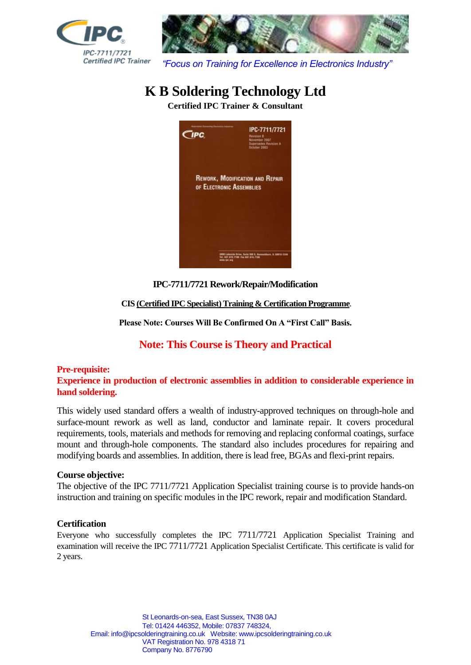



*"Focus on Training for Excellence in Electronics Industry"*

# **K B Soldering Technology Ltd**

**Certified IPC Trainer & Consultant**



**IPC-7711/7721 Rework/Repair/Modification**

**CIS (Certified IPC Specialist) Training & Certification Programme**.

**Please Note: Courses Will Be Confirmed On A "First Call" Basis.**

# **Note: This Course is Theory and Practical**

## **Pre-requisite:**

**Experience in production of electronic assemblies in addition to considerable experience in hand soldering.** 

This widely used standard offers a wealth of industry-approved techniques on through-hole and surface-mount rework as well as land, conductor and laminate repair. It covers procedural requirements, tools, materials and methods for removing and replacing conformal coatings, surface mount and through-hole components. The standard also includes procedures for repairing and modifying boards and assemblies. In addition, there is lead free, BGAs and flexi-print repairs.

## **Course objective:**

The objective of the IPC 7711/7721 Application Specialist training course is to provide hands-on instruction and training on specific modules in the IPC rework, repair and modification Standard.

## **Certification**

Everyone who successfully completes the IPC 7711/7721 Application Specialist Training and examination will receive the IPC 7711/7721 Application Specialist Certificate. This certificate is valid for 2 years.